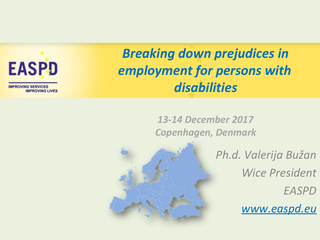$\#$ 

 $\ensuremath{\mathsf{T}}\xspace\ensuremath{\mathsf{T}}$ 

Ť.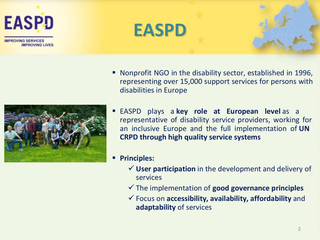

**PROVING SERVICES IMPROVING LIVES** 







- Nonprofit NGO in the disability sector, established in 1996, representing over 15,000 support services for persons with disabilities in Europe
- EASPD plays a **key role at European level** as a representative of disability service providers, working for an inclusive Europe and the full implementation of **UN CRPD through high quality service systems**
- **Principles:** 
	- **User participation** in the development and delivery of services
	- The implementation of **good governance principles**
	- Focus on **accessibility, availability, affordability** and **adaptability** of services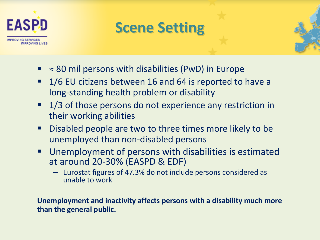

# **Scene Setting**

- ≈ 80 mil persons with disabilities (PwD) in Europe
- 1/6 EU citizens between 16 and 64 is reported to have a long-standing health problem or disability
- **1/3** of those persons do not experience any restriction in their working abilities
- **Disabled people are two to three times more likely to be** unemployed than non-disabled persons
- Unemployment of persons with disabilities is estimated at around 20-30% (EASPD & EDF)
	- Eurostat figures of 47.3% do not include persons considered as unable to work

**Unemployment and inactivity affects persons with a disability much more than the general public.**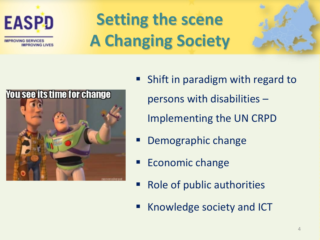

**OVING SERVICES MPROVING LIVES** 

# **Setting the scene A Changing Society**





- Shift in paradigm with regard to persons with disabilities – Implementing the UN CRPD
- Demographic change
- Economic change
- Role of public authorities
- Knowledge society and ICT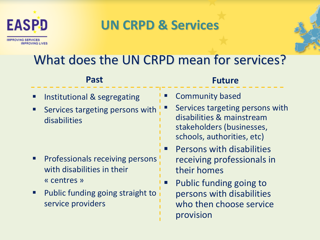

### **UN CRPD & Services**



#### **Past**

- Institutional & segregating
- **Services targeting persons with** disabilities

- Professionals receiving persons with disabilities in their « centres »
- **Public funding going straight to** service providers

#### **Future**

- Community based
- Services targeting persons with disabilities & mainstream stakeholders (businesses, schools, authorities, etc)
- Persons with disabilities receiving professionals in their homes
- Public funding going to persons with disabilities who then choose service provision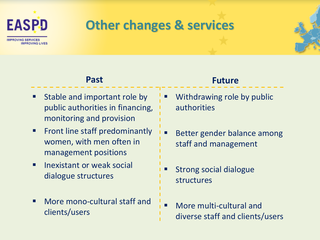

### **Other changes & services**

#### **Past**

- Stable and important role by public authorities in financing, monitoring and provision
- **Fig. 5 Front line staff predominantly** women, with men often in management positions
- $\blacksquare$  Inexistant or weak social dialogue structures
- More mono-cultural staff and clients/users

#### **Future**

- Withdrawing role by public authorities
- Better gender balance among staff and management
- Strong social dialogue structures
- More multi-cultural and diverse staff and clients/users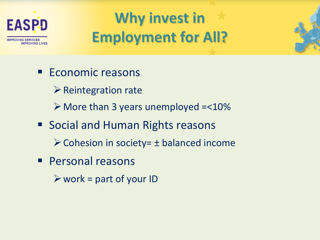

# **Why invest in Employment for All?**

- **Economic reasons**  $\triangleright$  Reintegration rate  $\triangleright$  More than 3 years unemployed = < 10% ■ Social and Human Rights reasons  $\triangleright$  Cohesion in society =  $\pm$  balanced income **Personal reasons** 
	- $\triangleright$  work = part of your ID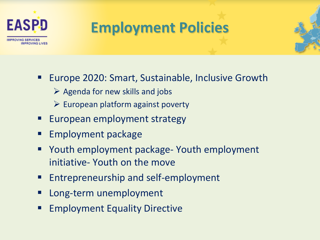

# **Employment Policies**

- Europe 2020: Smart, Sustainable, Inclusive Growth
	- $\triangleright$  Agenda for new skills and jobs
	- $\triangleright$  European platform against poverty
- European employment strategy
- Employment package
- Youth employment package- Youth employment initiative- Youth on the move
- Entrepreneurship and self-employment
- Long-term unemployment
- Employment Equality Directive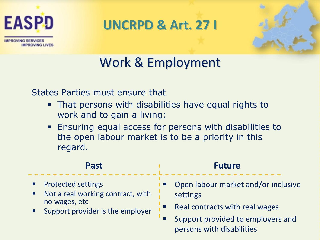

**PROVING SERVICES** 

**IMPROVING LIVES** 

**UNCRPD & Art. 27 I**



# Work & Employment

States Parties must ensure that

- That persons with disabilities have equal rights to work and to gain a living;
- **Ensuring equal access for persons with disabilities to** the open labour market is to be a priority in this regard.

| <b>Past</b>                       | <b>Future</b>                       |
|-----------------------------------|-------------------------------------|
| <b>Protected settings</b>         | Open labour market and/or inclusive |
| Not a real working contract, with | settings                            |
| ш                                 | Real contracts with real wages      |
| no wages, etc                     | Support provided to employers and   |
| Support provider is the employer  | persons with disabilities           |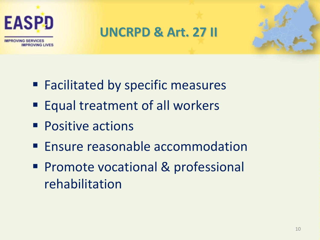

### **UNCRPD & Art. 27 II**



- **Facilitated by specific measures**
- Equal treatment of all workers
- **Positive actions**
- **Ensure reasonable accommodation**
- **Promote vocational & professional** rehabilitation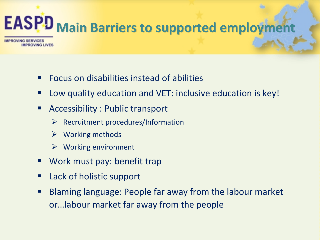# **EASPD** Main Barriers to supported employment

**WING SERVICES MPROVING LIVES** 

- Focus on disabilities instead of abilities
- Low quality education and VET: inclusive education is key!
- Accessibility : Public transport
	- $\triangleright$  Recruitment procedures/Information
	- $\triangleright$  Working methods
	- $\triangleright$  Working environment
- **Work must pay: benefit trap**
- Lack of holistic support
- Blaming language: People far away from the labour market or…labour market far away from the people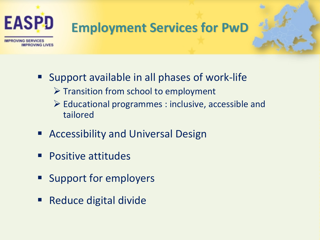

- Support available in all phases of work-life  $\triangleright$  Transition from school to employment
	- $\triangleright$  Educational programmes : inclusive, accessible and tailored
- **Accessibility and Universal Design**
- **Positive attitudes**
- **Support for employers**
- Reduce digital divide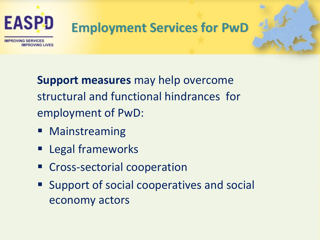

# **Employment Services for PwD**

**OVING SERVICES** 

**Support measures** may help overcome structural and functional hindrances for employment of PwD:

- **Mainstreaming**
- **Example 1** Legal frameworks
- **EXP** Cross-sectorial cooperation
- Support of social cooperatives and social economy actors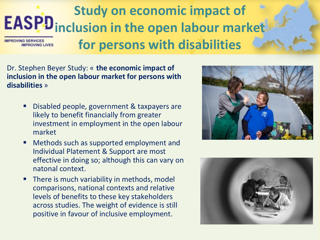### **Study on economic impact of EASPD** inclusion in the open labour market **for persons with disabilities COVING SERVICES MPROVING LIVE!**

Dr. Stephen Beyer Study: « **the economic impact of inclusion in the open labour market for persons with disabilities** »

- Disabled people, government & taxpayers are likely to benefit financially from greater investment in employment in the open labour market
- Methods such as supported employment and Individual Platement & Support are most effective in doing so; although this can vary on natonal context.
- **There is much variability in methods, model** comparisons, national contexts and relative levels of benefits to these key stakeholders across studies. The weight of evidence is still positive in favour of inclusive employment.



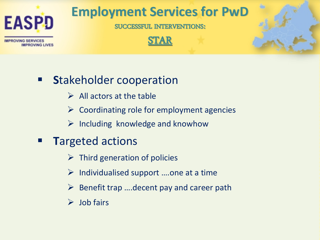

**Employment Services for PwD**

**SUCCESSFUL INTERVENTIONS:**





- **S**takeholder cooperation
	- $\triangleright$  All actors at the table
	- $\triangleright$  Coordinating role for employment agencies
	- $\triangleright$  Including knowledge and knowhow
- **T**argeted actions
	- $\triangleright$  Third generation of policies
	- $\triangleright$  Individualised support ....one at a time
	- $\triangleright$  Benefit trap .... decent pay and career path
	- $\triangleright$  Job fairs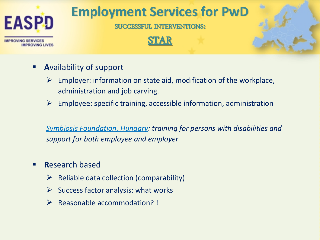

牲





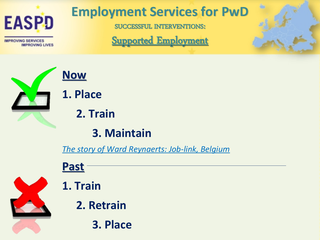

牲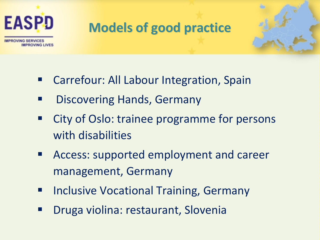

# **Models of good practice**



- Carrefour: All Labour Integration, Spain
- Discovering Hands, Germany
- City of Oslo: trainee programme for persons with disabilities
- Access: supported employment and career management, Germany
- Inclusive Vocational Training, Germany
- Druga violina: restaurant, Slovenia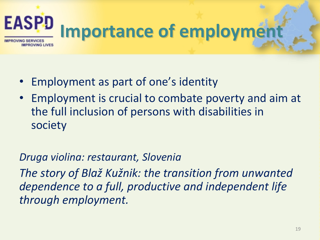

- Employment as part of one's identity
- Employment is crucial to combate poverty and aim at the full inclusion of persons with disabilities in society

### *Druga violina: restaurant, Slovenia*

*The story of Blaž Kužnik: the transition from unwanted dependence to a full, productive and independent life through employment.*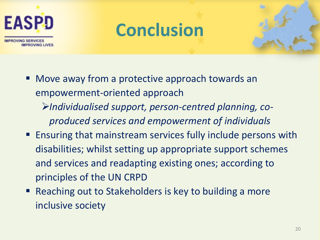

# **Conclusion**



- **Nove away from a protective approach towards an** empowerment-oriented approach
	- *Individualised support, person-centred planning, coproduced services and empowerment of individuals*
- **Ensuring that mainstream services fully include persons with** disabilities; whilst setting up appropriate support schemes and services and readapting existing ones; according to principles of the UN CRPD
- Reaching out to Stakeholders is key to building a more inclusive society